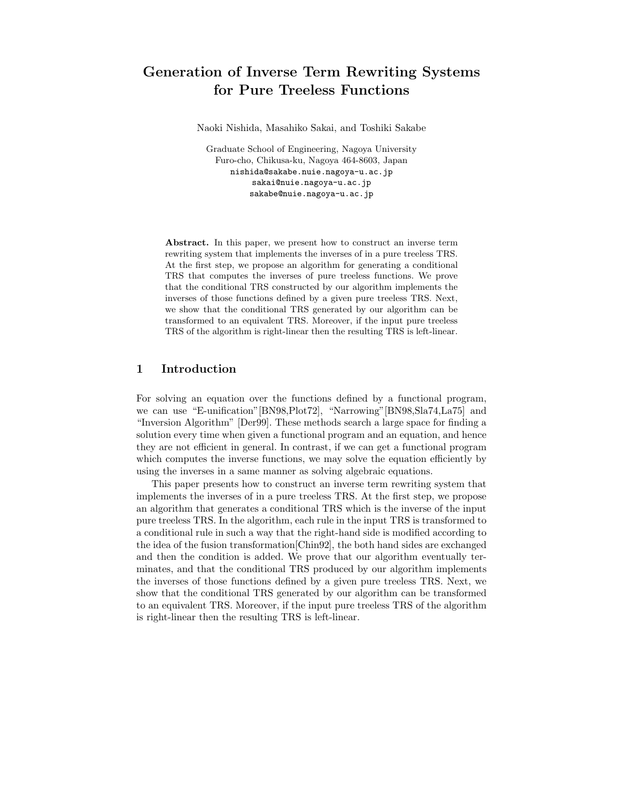# **Generation of Inverse Term Rewriting Systems for Pure Treeless Functions**

Naoki Nishida, Masahiko Sakai, and Toshiki Sakabe

Graduate School of Engineering, Nagoya University Furo-cho, Chikusa-ku, Nagoya 464-8603, Japan nishida@sakabe.nuie.nagoya-u.ac.jp sakai@nuie.nagoya-u.ac.jp sakabe@nuie.nagoya-u.ac.jp

**Abstract.** In this paper, we present how to construct an inverse term rewriting system that implements the inverses of in a pure treeless TRS. At the first step, we propose an algorithm for generating a conditional TRS that computes the inverses of pure treeless functions. We prove that the conditional TRS constructed by our algorithm implements the inverses of those functions defined by a given pure treeless TRS. Next, we show that the conditional TRS generated by our algorithm can be transformed to an equivalent TRS. Moreover, if the input pure treeless TRS of the algorithm is right-linear then the resulting TRS is left-linear.

## **1 Introduction**

For solving an equation over the functions defined by a functional program, we can use "E-unification"[BN98,Plot72], "Narrowing"[BN98,Sla74,La75] and "Inversion Algorithm" [Der99]. These methods search a large space for finding a solution every time when given a functional program and an equation, and hence they are not efficient in general. In contrast, if we can get a functional program which computes the inverse functions, we may solve the equation efficiently by using the inverses in a same manner as solving algebraic equations.

This paper presents how to construct an inverse term rewriting system that implements the inverses of in a pure treeless TRS. At the first step, we propose an algorithm that generates a conditional TRS which is the inverse of the input pure treeless TRS. In the algorithm, each rule in the input TRS is transformed to a conditional rule in such a way that the right-hand side is modified according to the idea of the fusion transformation[Chin92], the both hand sides are exchanged and then the condition is added. We prove that our algorithm eventually terminates, and that the conditional TRS produced by our algorithm implements the inverses of those functions defined by a given pure treeless TRS. Next, we show that the conditional TRS generated by our algorithm can be transformed to an equivalent TRS. Moreover, if the input pure treeless TRS of the algorithm is right-linear then the resulting TRS is left-linear.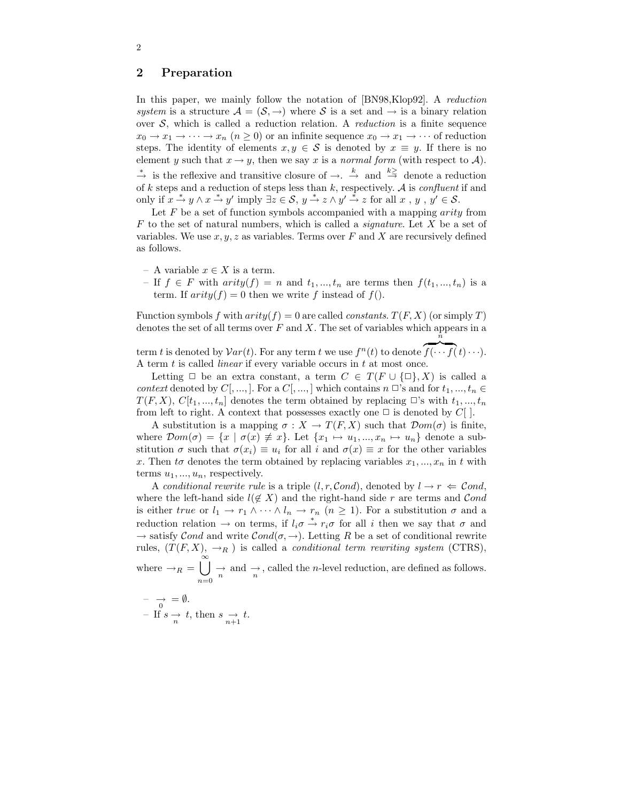## **2 Preparation**

In this paper, we mainly follow the notation of [BN98,Klop92]. A *reduction system* is a structure  $\mathcal{A} = (\mathcal{S}, \rightarrow)$  where S is a set and  $\rightarrow$  is a binary relation over S, which is called a reduction relation. A *reduction* is a finite sequence  $x_0 \to x_1 \to \cdots \to x_n$   $(n \ge 0)$  or an infinite sequence  $x_0 \to x_1 \to \cdots$  of reduction steps. The identity of elements  $x, y \in S$  is denoted by  $x \equiv y$ . If there is no element y such that  $x \to y$ , then we say x is a *normal form* (with respect to A). <sup>\*</sup>→ is the reflexive and transitive closure of  $\rightarrow$ .  $\stackrel{k}{\rightarrow}$  and  $\stackrel{k\geq}{\rightarrow}$  denote a reduction of k steps and a reduction of steps less than k, respectively. A is *confluent* if and only if  $x \stackrel{*}{\rightarrow} y \wedge x \stackrel{*}{\rightarrow} y'$  imply  $\exists z \in \mathcal{S}, y \stackrel{*}{\rightarrow} z \wedge y' \stackrel{*}{\rightarrow} z$  for all  $x, y, y' \in \mathcal{S}$ .

Let  $F$  be a set of function symbols accompanied with a mapping  $arity$  from F to the set of natural numbers, which is called a *signature*. Let X be a set of variables. We use  $x, y, z$  as variables. Terms over F and X are recursively defined as follows.

- A variable  $x \in X$  is a term.
- If  $f \in F$  with  $arity(f) = n$  and  $t_1, ..., t_n$  are terms then  $f(t_1, ..., t_n)$  is a term. If  $arity(f) = 0$  then we write f instead of  $f(.)$ .

Function symbols f with  $arity(f) = 0$  are called *constants*.  $T(F, X)$  (or simply T) denotes the set of all terms over  $F$  and  $X$ . The set of variables which appears in a *n*

term t is denoted by  $Var(t)$ . For any term t we use  $f^n(t)$  to denote  $\overbrace{f(\cdots f(t)\cdots)}$ . A term t is called *linear* if every variable occurs in t at most once.

Letting  $\Box$  be an extra constant, a term  $C \in T(F \cup \{\Box\}, X)$  is called a *context* denoted by  $C$ , ..., ]. For a  $C$ , ..., ] which contains  $n \Box$ 's and for  $t_1, ..., t_n \in$  $T(F, X), C[t_1, ..., t_n]$  denotes the term obtained by replacing  $\Box$ 's with  $t_1, ..., t_n$ from left to right. A context that possesses exactly one  $\Box$  is denoted by  $C$ .

A substitution is a mapping  $\sigma : X \to T(F, X)$  such that  $\mathcal{D}om(\sigma)$  is finite, where  $\mathcal{D}om(\sigma) = \{x \mid \sigma(x) \not\equiv x\}$ . Let  $\{x_1 \mapsto u_1, ..., x_n \mapsto u_n\}$  denote a substitution  $\sigma$  such that  $\sigma(x_i) \equiv u_i$  for all i and  $\sigma(x) \equiv x$  for the other variables x. Then  $t\sigma$  denotes the term obtained by replacing variables  $x_1, ..., x_n$  in t with terms  $u_1, \ldots, u_n$ , respectively.

A *conditional rewrite rule* is a triple  $(l, r, \text{Cond})$ , denoted by  $l \rightarrow r \Leftarrow \text{Cond}$ , where the left-hand side  $l(\notin X)$  and the right-hand side r are terms and Cond is either true or  $l_1 \to r_1 \wedge \cdots \wedge l_n \to r_n$   $(n \geq 1)$ . For a substitution  $\sigma$  and a reduction relation  $\to$  on terms, if  $l_i \sigma \stackrel{*}{\to} r_i \sigma$  for all i then we say that  $\sigma$  and  $\rightarrow$  satisfy Cond and write Cond( $\sigma$ ,  $\rightarrow$ ). Letting R be a set of conditional rewrite rules,  $(T(F, X), \rightarrow_R)$  is called a *conditional term rewriting system* (CTRS), where  $\rightarrow_R$  =  $\bigcup^{\infty}$  $\bigcup_{n=0}$   $\rightarrow$  and  $\rightarrow$ , called the *n*-level reduction, are defined as follows.

$$
\begin{array}{l}\n- \to \in \emptyset. \\
- \text{ If } s \to t, \text{ then } s \to t. \\
\end{array}
$$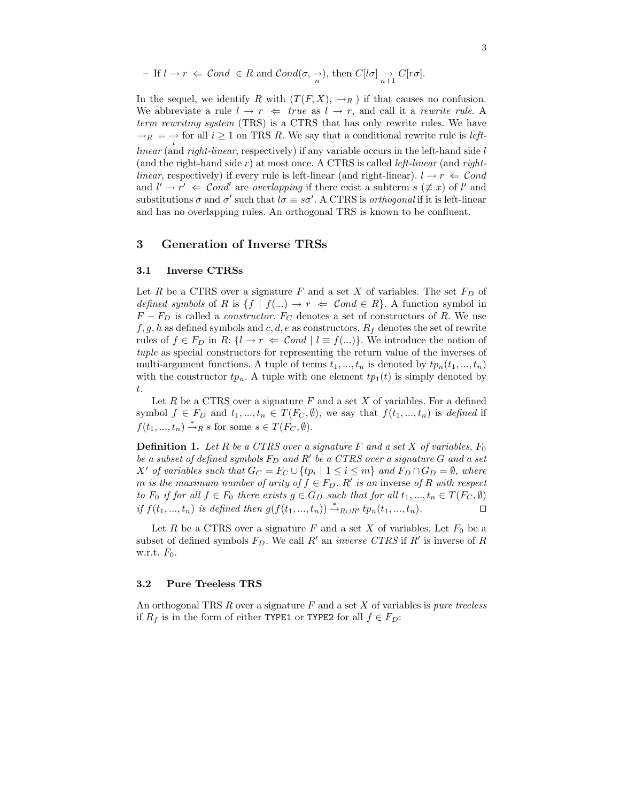$$
- \text{ If } l \to r \Leftrightarrow \mathcal{C} \text{ on } d \in R \text{ and } \mathcal{C} \text{ on } d(\sigma, \frac{\Delta}{n}), \text{ then } C[l\sigma] \to C[r\sigma].
$$

In the sequel, we identify R with  $(T(F, X), \rightarrow_R)$  if that causes no confusion. We abbreviate a rule  $l \rightarrow r \Leftarrow true$  as  $l \rightarrow r$ , and call it a *rewrite rule*. A *term rewriting system* (TRS) is a CTRS that has only rewrite rules. We have  $\rightarrow_R$  =  $\rightarrow$  for all  $i \geq 1$  on TRS R. We say that a conditional rewrite rule is *leftlinear* (and *right-linear*, respectively) if any variable occurs in the left-hand side l (and the right-hand side r) at most once. A CTRS is called *left-linear* (and *rightlinear*, respectively) if every rule is left-linear (and right-linear).  $l \rightarrow r \Leftarrow Cond$ and  $l' \rightarrow r' \Leftarrow \mathcal{C}ond'$  are *overlapping* if there exist a subterm  $s \ (\not\equiv x)$  of l' and substitutions  $\sigma$  and  $\sigma'$  such that  $l\sigma \equiv s\sigma'$ . A CTRS is *orthogonal* if it is left-linear and has no overlapping rules. An orthogonal TRS is known to be confluent.

# **3 Generation of Inverse TRSs**

#### **3.1 Inverse CTRSs**

Let R be a CTRS over a signature F and a set X of variables. The set  $F_D$  of *defined symbols* of R is  $\{f \mid f(...) \rightarrow r \iff Cond \in R\}$ . A function symbol in  $F - F_D$  is called a *constructor.*  $F_C$  denotes a set of constructors of R. We use  $f, g, h$  as defined symbols and  $c, d, e$  as constructors.  $R_f$  denotes the set of rewrite rules of  $f \in F_D$  in  $R: \{l \to r \Leftrightarrow Cond \mid l \equiv f(...)\}.$  We introduce the notion of *tuple* as special constructors for representing the return value of the inverses of multi-argument functions. A tuple of terms  $t_1, ..., t_n$  is denoted by  $tp_n(t_1, ..., t_n)$ with the constructor  $tp_n$ . A tuple with one element  $tp_1(t)$  is simply denoted by t.

Let  $R$  be a CTRS over a signature  $F$  and a set  $X$  of variables. For a defined symbol  $f \in F_D$  and  $t_1, ..., t_n \in T(F_C, \emptyset)$ , we say that  $f(t_1, ..., t_n)$  is *defined* if  $f(t_1, ..., t_n) \stackrel{*}{\rightarrow}_R s$  for some  $s \in T(F_C, \emptyset)$ .

**Definition 1.** Let R be a CTRS over a signature F and a set X of variables,  $F_0$ *be a subset of defined symbols* F*<sup>D</sup> and* R *be a CTRS over a signature* G *and a set* X' of variables such that  $G_C = F_C \cup \{tp_i \mid 1 \leq i \leq m\}$  and  $F_D \cap G_D = \emptyset$ , where m *is the maximum number of arity of*  $f \in F_D$ *.*  $R'$  *is an* inverse *of*  $R$  *with respect to*  $F_0$  *if for all*  $f \in F_0$  *there exists*  $g \in G_D$  *such that for all*  $t_1, ..., t_n \in T(F_C, \emptyset)$ *if*  $f(t_1, ..., t_n)$  *is defined then*  $g(f(t_1, ..., t_n))$  →  $_{R\cup R'} tp_n(t_1, ..., t_n)$ . □

Let R be a CTRS over a signature F and a set X of variables. Let  $F_0$  be a subset of defined symbols  $F_D$ . We call R' an *inverse CTRS* if R' is inverse of R w.r.t.  $F_0$ .

#### **3.2 Pure Treeless TRS**

An orthogonal TRS R over a signature F and a set X of variables is *pure treeless* if  $R_f$  is in the form of either TYPE1 or TYPE2 for all  $f \in F_D$ :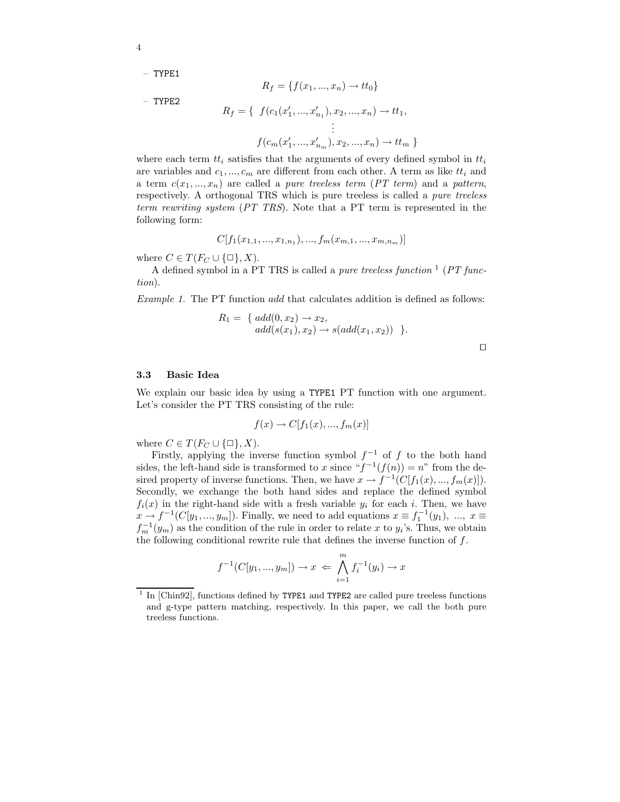– TYPE1

$$
R_f = \{f(x_1, ..., x_n) \to tt_0\}
$$

– TYPE2

$$
R_f = \{ f(c_1(x'_1, ..., x'_{n_1}), x_2, ..., x_n) \to tt_1, \n\vdots \nf(c_m(x'_1, ..., x'_{n_m}), x_2, ..., x_n) \to tt_m \}
$$

where each term  $tt_i$  satisfies that the arguments of every defined symbol in  $tt_i$ are variables and  $c_1, ..., c_m$  are different from each other. A term as like  $tt_i$  and a term  $c(x_1, ..., x_n)$  are called a *pure treeless term* (*PT term*) and a *pattern*, respectively. A orthogonal TRS which is pure treeless is called a *pure treeless term rewriting system* (*PT TRS*). Note that a PT term is represented in the following form:

$$
C[f_1(x_{1,1},...,x_{1,n_1}),...,f_m(x_{m,1},...,x_{m,n_m})]
$$

where  $C \in T(F_C \cup \{\square\}, X)$ .

A defined symbol in a PT TRS is called a *pure treeless function* <sup>1</sup> (*PT function*).

*Example 1.* The PT function add that calculates addition is defined as follows:

$$
R_1 = \{ add(0, x_2) \to x_2,add(s(x_1), x_2) \to s(add(x_1, x_2))\}.
$$

| ۰ | ۰ |  |
|---|---|--|
|   |   |  |
|   |   |  |

### **3.3 Basic Idea**

We explain our basic idea by using a **TYPE1** PT function with one argument. Let's consider the PT TRS consisting of the rule:

$$
f(x) \rightarrow C[f_1(x),...,f_m(x)]
$$

where  $C \in T(F_C \cup \{\square\}, X)$ .

Firstly, applying the inverse function symbol  $f^{-1}$  of f to the both hand sides, the left-hand side is transformed to x since " $f^{-1}(f(n)) = n$ " from the desired property of inverse functions. Then, we have  $x \to f^{-1}(C[f_1(x),...,f_m(x)])$ . Secondly, we exchange the both hand sides and replace the defined symbol  $f_i(x)$  in the right-hand side with a fresh variable  $y_i$  for each i. Then, we have  $x \to f^{-1}(C[y_1, ..., y_m])$ . Finally, we need to add equations  $x \equiv f_1^{-1}(y_1), ..., x \equiv$  $f_m^{-1}(y_m)$  as the condition of the rule in order to relate x to  $y_i$ 's. Thus, we obtain the following conditional rewrite rule that defines the inverse function of  $f$ .

$$
f^{-1}(C[y_1, ..., y_m]) \to x \Leftarrow \bigwedge_{i=1}^m f_i^{-1}(y_i) \to x
$$

4

 $1$  In [Chin92], functions defined by TYPE1 and TYPE2 are called pure treeless functions and g-type pattern matching, respectively. In this paper, we call the both pure treeless functions.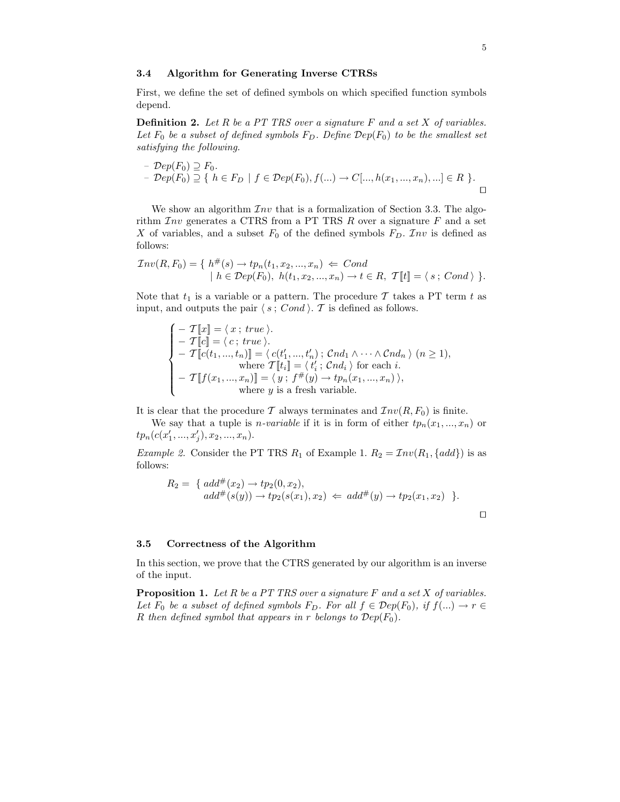#### **3.4 Algorithm for Generating Inverse CTRSs**

First, we define the set of defined symbols on which specified function symbols depend.

**Definition 2.** *Let* R *be a PT TRS over a signature* F *and a set* X *of variables.* Let  $F_0$  be a subset of defined symbols  $F_D$ . Define  $Dep(F_0)$  to be the smallest set *satisfying the following.*

$$
- \n\mathcal{D}ep(F_0) \supseteq F_0.
$$
  
- \n\mathcal{D}ep(F\_0) \supseteq {h \in F\_D | f \in \mathcal{D}ep(F\_0), f(...) \to C[..., h(x\_1, ..., x\_n),...] \in R }

We show an algorithm  $\mathcal{I}nv$  that is a formalization of Section 3.3. The algorithm  $\mathcal{I}nv$  generates a CTRS from a PT TRS R over a signature F and a set X of variables, and a subset  $F_0$  of the defined symbols  $F_D$ .  $\mathcal{I}nv$  is defined as follows:

$$
Inv(R, F_0) = \{ h^{\#}(s) \to tp_n(t_1, x_2, ..., x_n) \Leftarrow Cond \mid h \in Dep(F_0), h(t_1, x_2, ..., x_n) \to t \in R, T[[t]] = \langle s ; Cond \rangle \}.
$$

Note that  $t_1$  is a variable or a pattern. The procedure T takes a PT term t as input, and outputs the pair  $\langle s ; Cond \rangle$ . T is defined as follows.

$$
\begin{cases}\n- T[\![x]\!] = \langle x ; \text{ true }\rangle. \\
- T[\![c]\!] = \langle c ; \text{ true }\rangle. \\
- T[\![c(t_1, ..., t_n)]\!] = \langle c(t'_1, ..., t'_n) ; \text{ Cnd}_1 \wedge \cdots \wedge \text{ Cnd}_n \rangle \ (n \ge 1), \\
& \text{ where } T[\![t_i]\!] = \langle t'_i ; \text{ Cnd}_i \rangle \text{ for each } i. \\
- T[\![f(x_1, ..., x_n)]\!] = \langle y ; f^{\#}(y) \rightarrow tp_n(x_1, ..., x_n) \rangle, \\
& \text{ where } y \text{ is a fresh variable.} \n\end{cases}
$$

It is clear that the procedure T always terminates and  $Inv(R, F_0)$  is finite.

We say that a tuple is *n*-variable if it is in form of either  $tp_n(x_1, ..., x_n)$  or  $tp_n(c(x'_1, ..., x'_j), x_2, ..., x_n).$ 

*Example 2.* Consider the PT TRS  $R_1$  of Example 1.  $R_2 = \mathcal{I}nv(R_1, \{add\})$  is as follows:

$$
R_2 = \{ add^{\#}(x_2) \to tp_2(0, x_2),add^{\#}(s(y)) \to tp_2(s(x_1), x_2) \Leftarrow add^{\#}(y) \to tp_2(x_1, x_2) \}.
$$

 $\Box$ 

#### **3.5 Correctness of the Algorithm**

In this section, we prove that the CTRS generated by our algorithm is an inverse of the input.

**Proposition 1.** *Let* R *be a PT TRS over a signature* F *and a set* X *of variables. Let*  $F_0$  *be a subset of defined symbols*  $F_D$ *. For all*  $f \in \mathcal{D}ep(F_0)$ *, if*  $f(...) \rightarrow r \in$ R then defined symbol that appears in r belongs to  $Dep(F_0)$ .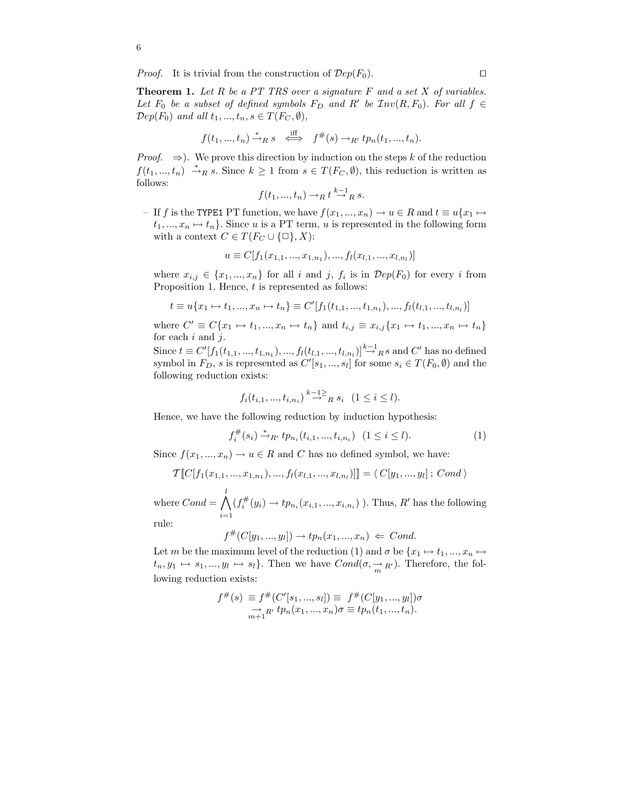*Proof.* It is trivial from the construction of  $\mathcal{D}ep(F_0)$ .

**Theorem 1.** *Let* R *be a PT TRS over a signature* F *and a set* X *of variables. Let*  $F_0$  *be a subset of defined symbols*  $F_D$  *and*  $R'$  *be*  $Inv(R, F_0)$ *. For all*  $f \in$  $Dep(F_0)$  *and all*  $t_1, ..., t_n, s \in T(F_C, \emptyset)$ *,* 

$$
f(t_1, ..., t_n) \stackrel{*}{\rightarrow}_R s \iff f^{\#}(s) \rightarrow_{R'} tp_n(t_1, ..., t_n).
$$

*Proof.*  $\Rightarrow$ ). We prove this direction by induction on the steps k of the reduction  $f(t_1, ..., t_n) \stackrel{*}{\rightarrow}_R s$ . Since  $k \geq 1$  from  $s \in T(F_C, \emptyset)$ , this reduction is written as follows:

$$
f(t_1, ..., t_n) \rightarrow_R t \stackrel{k-1}{\rightarrow}_R s.
$$

– If f is the TYPE1 PT function, we have  $f(x_1, ..., x_n) \to u \in R$  and  $t \equiv u\{x_1 \mapsto$  $t_1, ..., x_n \mapsto t_n$ . Since u is a PT term, u is represented in the following form with a context  $C \in T(F_C \cup \{\square\}, X)$ :

$$
u \equiv C[f_1(x_{1,1},...,x_{1,n_1}),...,f_l(x_{l,1},...,x_{l,n_l})]
$$

where  $x_{i,j} \in \{x_1, ..., x_n\}$  for all i and j,  $f_i$  is in  $Dep(F_0)$  for every i from Proposition 1. Hence,  $t$  is represented as follows:

$$
t \equiv u\{x_1 \mapsto t_1, ..., x_n \mapsto t_n\} \equiv C'[f_1(t_{1,1}, ..., t_{1,n_1}), ..., f_l(t_{l,1}, ..., t_{l,n_l})]
$$

where  $C' \equiv C\{x_1 \mapsto t_1, ..., x_n \mapsto t_n\}$  and  $t_{i,j} \equiv x_{i,j} \{x_1 \mapsto t_1, ..., x_n \mapsto t_n\}$ for each  $i$  and  $j$ .

Since  $t \equiv C'[f_1(t_{1,1},...,t_{1,n_1}),...,f_l(t_{l,1},...,t_{l,n_l})] \stackrel{k-1}{\to} R s$  and  $C'$  has no defined symbol in  $F_D$ , s is represented as  $C'[s_1, ..., s_l]$  for some  $s_i \in T(F_0, \emptyset)$  and the following reduction exists:

$$
f_i(t_{i,1},...,t_{i,n_i}) \stackrel{k-1 \geq} \to R s_i \quad (1 \leq i \leq l).
$$

Hence, we have the following reduction by induction hypothesis:

$$
f_i^{\#}(s_i) \stackrel{*}{\to}_{R'} tp_{n_i}(t_{i,1},...,t_{i,n_i}) \ (1 \le i \le l). \tag{1}
$$

Since  $f(x_1, ..., x_n) \to u \in R$  and C has no defined symbol, we have:

$$
\mathcal{T}[\![C[f_1(x_{1,1},...,x_{1,n_1}),...,f_l(x_{l,1},...,x_{l,n_l})]\!]] = \langle C[y_1,...,y_l];\;Cond\rangle
$$

where  $Cond = \bigwedge^l$ *i*=1  $(f_i^{\#}(y_i) \to tp_{n_i}(x_{i,1},...,x_{i,n_i})$ ). Thus, R' has the following

rule:

$$
f^{\#}(C[y_1, ..., y_l]) \to tp_n(x_1, ..., x_n) \Leftarrow Cond.
$$

Let m be the maximum level of the reduction (1) and  $\sigma$  be  $\{x_1 \mapsto t_1, ..., x_n \mapsto$  $t_n, y_1 \mapsto s_1, ..., y_l \mapsto s_l$ . Then we have  $Cond(\sigma, \frac{\Delta}{m}R)$ . Therefore, the following reduction exists:

$$
f^{\#}(s) \equiv f^{\#}(C'[s_1, ..., s_l]) \equiv f^{\#}(C[y_1, ..., y_l])\sigma
$$
  
\n
$$
\rightarrow_{m+1}^{n} r \, tp_n(x_1, ..., x_n)\sigma \equiv tp_n(t_1, ..., t_n).
$$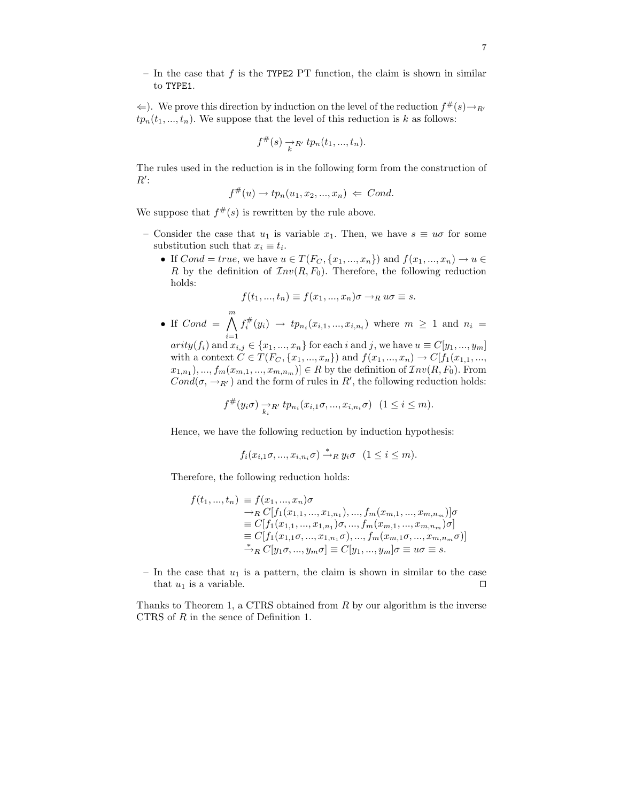– In the case that f is the TYPE2 PT function, the claim is shown in similar to TYPE1.

 $\Leftarrow$ ). We prove this direction by induction on the level of the reduction  $f^#(s) \rightarrow_{R'}$  $tp_n(t_1, ..., t_n)$ . We suppose that the level of this reduction is k as follows:

$$
f^{\#}(s) \xrightarrow[k]{\longrightarrow} R' \; tp_n(t_1, ..., t_n).
$$

The rules used in the reduction is in the following form from the construction of  $R'$ :

$$
f^{\#}(u) \rightarrow tp_n(u_1, x_2, ..., x_n) \Leftarrow Cond.
$$

We suppose that  $f^{\#}(s)$  is rewritten by the rule above.

- Consider the case that  $u_1$  is variable  $x_1$ . Then, we have  $s \equiv u\sigma$  for some substitution such that  $x_i \equiv t_i$ .
	- If  $Cond = true$ , we have  $u \in T(F_C, \{x_1, ..., x_n\})$  and  $f(x_1, ..., x_n) \to u \in$ R by the definition of  $Inv(R, F_0)$ . Therefore, the following reduction holds:

$$
f(t_1, ..., t_n) \equiv f(x_1, ..., x_n)\sigma \rightarrow_R u\sigma \equiv s.
$$

• If  $Cond = \bigwedge^m$ *i*=1  $f_i^{\#}(y_i) \to tp_{n_i}(x_{i,1},...,x_{i,n_i})$  where  $m \geq 1$  and  $n_i =$ 

 $arity(f_i)$  and  $x_{i,j} \in \{x_1, ..., x_n\}$  for each i and j, we have  $u \equiv C[y_1, ..., y_m]$ with a context  $C \in T(F_C, \{x_1, ..., x_n\})$  and  $f(x_1, ..., x_n) \to C[f_1(x_{1,1}, ..., x_n]]$  $x_{1,n_1}$ , ...,  $f_m(x_{m,1},...,x_{m,n_m})] \in R$  by the definition of  $\mathcal{I}nv(R,F_0)$ . From  $Cond(\sigma, \rightarrow_{R'})$  and the form of rules in R', the following reduction holds:

$$
f^{\#}(y_i \sigma) \underset{k_i}{\rightarrow} R' t p_{n_i}(x_{i,1} \sigma, ..., x_{i,n_i} \sigma) \quad (1 \le i \le m).
$$

Hence, we have the following reduction by induction hypothesis:

$$
f_i(x_{i,1}\sigma,\ldots,x_{i,n_i}\sigma) \stackrel{*}{\rightarrow}_R y_i\sigma \ (1 \leq i \leq m).
$$

Therefore, the following reduction holds:

$$
f(t_1, ..., t_n) \equiv f(x_1, ..., x_n)\sigma
$$
  
\n
$$
\rightarrow_R C[f_1(x_{1,1}, ..., x_{1,n_1}), ..., f_m(x_{m,1}, ..., x_{m,n_m})]\sigma
$$
  
\n
$$
\equiv C[f_1(x_{1,1}, ..., x_{1,n_1})\sigma, ..., f_m(x_{m,1}, ..., x_{m,n_m})\sigma]
$$
  
\n
$$
\equiv C[f_1(x_{1,1}\sigma, ..., x_{1,n_1}\sigma), ..., f_m(x_{m,1}\sigma, ..., x_{m,n_m}\sigma)]
$$
  
\n
$$
\stackrel{*}{\rightarrow}_R C[y_1\sigma, ..., y_m\sigma] \equiv C[y_1, ..., y_m]\sigma \equiv u\sigma \equiv s.
$$

– In the case that  $u_1$  is a pattern, the claim is shown in similar to the case that  $u_1$  is a variable.  $\square$ 

Thanks to Theorem 1, a CTRS obtained from  $R$  by our algorithm is the inverse CTRS of R in the sence of Definition 1.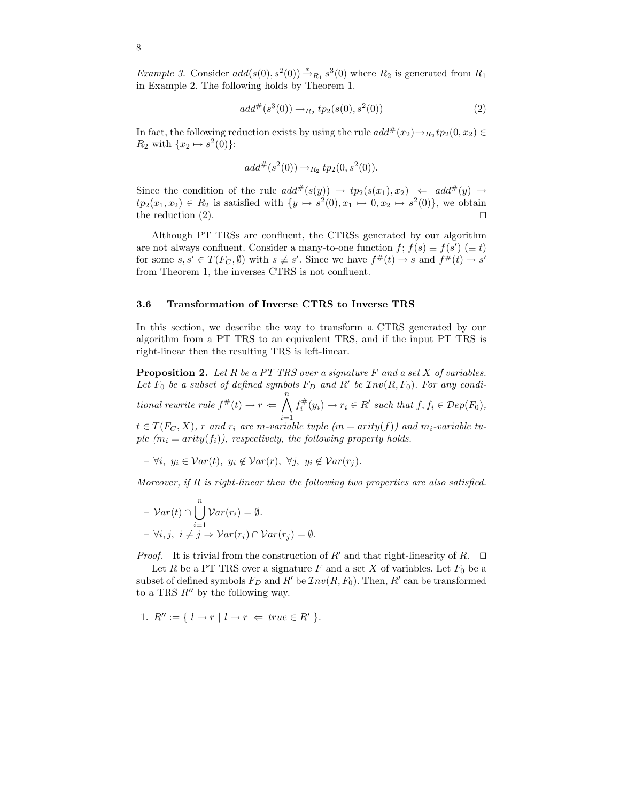*Example 3.* Consider  $add(s(0), s^2(0)) \rightarrow_{R_1} s^3(0)$  where  $R_2$  is generated from  $R_1$ in Example 2. The following holds by Theorem 1.

$$
add^{\#}(s^{3}(0)) \rightarrow_{R_{2}} tp_{2}(s(0), s^{2}(0))
$$
\n(2)

In fact, the following reduction exists by using the rule  $add^{\#}(x_2) \rightarrow R_2 t p_2(0, x_2) \in$  $R_2$  with  $\{x_2 \mapsto s^2(0)\}$ :

$$
add^{\#}(s^2(0)) \rightarrow_{R_2} tp_2(0, s^2(0)).
$$

Since the condition of the rule  $add^{\#}(s(y)) \rightarrow tp_2(s(x_1), x_2) \Leftarrow add^{\#}(y) \rightarrow$  $tp_2(x_1, x_2) \in R_2$  is satisfied with  $\{y \mapsto s^2(0), x_1 \mapsto 0, x_2 \mapsto s^2(0)\},\$  we obtain the reduction (2).  $\Box$ 

Although PT TRSs are confluent, the CTRSs generated by our algorithm are not always confluent. Consider a many-to-one function  $f; f(s) \equiv f(s') \equiv t$ for some  $s, s' \in T(F_C, \emptyset)$  with  $s \neq s'$ . Since we have  $f^{\#}(t) \to s$  and  $f^{\#}(t) \to s'$ from Theorem 1, the inverses CTRS is not confluent.

#### **3.6 Transformation of Inverse CTRS to Inverse TRS**

In this section, we describe the way to transform a CTRS generated by our algorithm from a PT TRS to an equivalent TRS, and if the input PT TRS is right-linear then the resulting TRS is left-linear.

**Proposition 2.** *Let* R *be a PT TRS over a signature* F *and a set* X *of variables.* Let  $F_0$  be a subset of defined symbols  $F_D$  and  $R'$  be  $Inv(R, F_0)$ . For any condi-

*tional rewrite rule*  $f^{\#}(t) \rightarrow r \Leftarrow \bigwedge^{n}$ *i*=1  $f_i^{\#}(y_i) \rightarrow r_i \in R'$  such that  $f, f_i \in \mathcal{D}ep(F_0)$ ,

 $t \in T(F_C, X)$ , r and  $r_i$  are m-variable tuple  $(m = arity(f))$  and  $m_i$ -variable tu*ple*  $(m_i = arity(f_i))$ , respectively, the following property holds.

*–* ∀*i*,  $y_i \in \mathcal{V}ar(t)$ ,  $y_i \notin \mathcal{V}ar(r)$ , ∀*j*,  $y_i \notin \mathcal{V}ar(r_i)$ .

*Moreover, if* R *is right-linear then the following two properties are also satisfied.*

$$
- \operatorname{Var}(t) \cap \bigcup_{i=1}^{n} \operatorname{Var}(r_i) = \emptyset.
$$
  

$$
- \forall i, j, \ i \neq j \Rightarrow \operatorname{Var}(r_i) \cap \operatorname{Var}(r_j) = \emptyset.
$$

*Proof.* It is trivial from the construction of R' and that right-linearity of R.  $\Box$ 

Let R be a PT TRS over a signature F and a set X of variables. Let  $F_0$  be a subset of defined symbols  $F_D$  and  $R'$  be  $Inv(R, F_0)$ . Then,  $R'$  can be transformed to a TRS  $R''$  by the following way.

1. 
$$
R'' := \{ l \rightarrow r | l \rightarrow r \Leftarrow true \in R' \}.
$$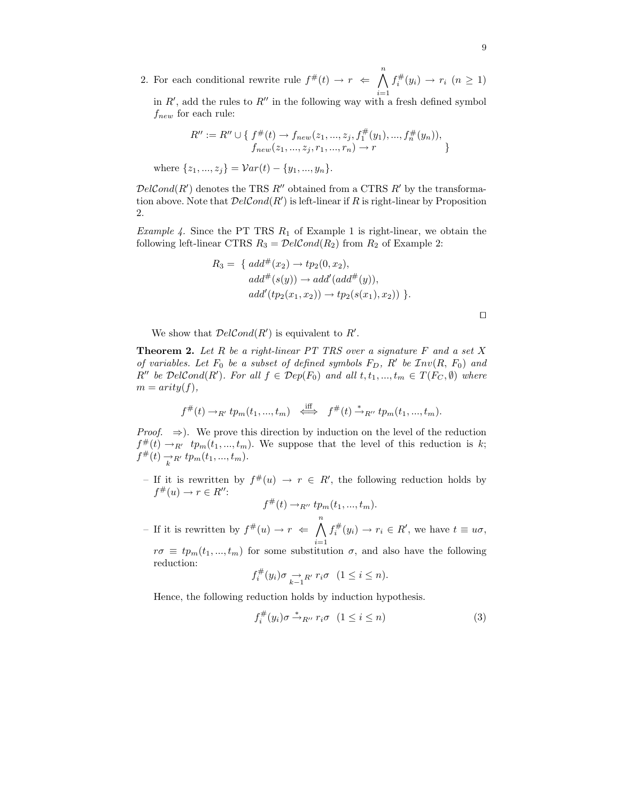2. For each conditional rewrite rule  $f^{\#}(t) \to r \iff \bigwedge^{n} f^{\#}_{i}(y_{i}) \to r_{i} \ (n \geq 1)$ 

in  $R'$ , add the rules to  $R''$  in the following way with a fresh defined symbol f*new* for each rule:

$$
R'' := R'' \cup \{ f^{\#}(t) \to f_{new}(z_1, ..., z_j, f_1^{\#}(y_1), ..., f_n^{\#}(y_n)), f_{new}(z_1, ..., z_j, r_1, ..., r_n) \to r \}
$$

where  $\{z_1, ..., z_i\} = \mathcal{V}ar(t) - \{y_1, ..., y_n\}.$ 

 $DelCond(R')$  denotes the TRS  $R''$  obtained from a CTRS  $R'$  by the transformation above. Note that  $DelCond(R')$  is left-linear if R is right-linear by Proposition 2.

*Example 4.* Since the PT TRS  $R_1$  of Example 1 is right-linear, we obtain the following left-linear CTRS  $R_3 = \mathcal{D}elCond(R_2)$  from  $R_2$  of Example 2:

$$
R_3 = \{ add^{\#}(x_2) \to tp_2(0, x_2),add^{\#}(s(y)) \to add'(add^{\#}(y)),add'(tp_2(x_1, x_2)) \to tp_2(s(x_1), x_2)) \}.
$$

We show that  $DelCond(R')$  is equivalent to R'.

**Theorem 2.** *Let* R *be a right-linear PT TRS over a signature* F *and a set* X *of variables. Let*  $F_0$  *be a subset of defined symbols*  $F_D$ ,  $R'$  *be*  $Inv(R, F_0)$  *and*  $R''$  be  $DelCond(R')$ . For all  $f \in Dep(F_0)$  and all  $t, t_1, ..., t_m \in T(F_C, \emptyset)$  where  $m =$ arity(f),

$$
f^{\#}(t) \rightarrow_{R'} tp_m(t_1, ..., t_m) \iff f^{\#}(t) \stackrel{*}{\rightarrow}_{R''} tp_m(t_1, ..., t_m).
$$

*Proof.*  $\Rightarrow$ ). We prove this direction by induction on the level of the reduction  $f^{\#}(t) \rightarrow_{R'} tp_m(t_1, ..., t_m)$ . We suppose that the level of this reduction is k;  $f^{\#}(t) \rightarrow_{R'} tp_m(t_1, ..., t_m).$ 

– If it is rewritten by  $f^{\#}(u) \to r \in R'$ , the following reduction holds by  $f^{\#}(u) \rightarrow r \in R''$ :

$$
f^{\#}(t) \rightarrow_{R''} tp_m(t_1, ..., t_m).
$$

– If it is rewritten by  $f^{\#}(u) \to r \iff \bigwedge^{n}$ *i*=1  $f_i^{\#}(y_i) \to r_i \in R'$ , we have  $t \equiv u\sigma$ ,  $r\sigma \equiv tp_m(t_1, ..., t_m)$  for some substitution  $\sigma$ , and also have the following reduction:

$$
f_i^{\#}(y_i)\sigma \underset{k-1}{\to}_{R'} r_i\sigma \ (1 \leq i \leq n).
$$

Hence, the following reduction holds by induction hypothesis.

$$
f_i^{\#}(y_i)\sigma \stackrel{*}{\rightarrow}_{R''} r_i\sigma \ (1 \le i \le n)
$$
 (3)

 $\Box$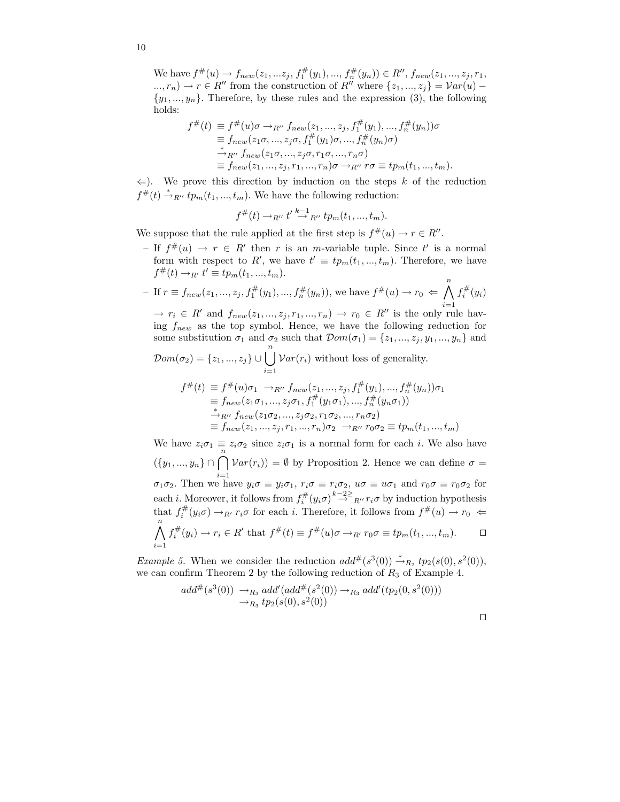We have  $f^{\#}(u) \to f_{new}(z_1, ...z_j, f_1^{\#}(y_1), ..., f_n^{\#}(y_n)) \in R'', f_{new}(z_1, ..., z_j, r_1,$ ...,  $r_n$ ) →  $r \in R''$  from the construction of  $R''$  where  $\{z_1, ..., z_j\} = Var(u)$  –  $\{y_1, \ldots, y_n\}$ . Therefore, by these rules and the expression (3), the following holds:

$$
f^{\#}(t) \equiv f^{\#}(u)\sigma \to_{R''} f_{new}(z_1, ..., z_j, f_1^{\#}(y_1), ..., f_n^{\#}(y_n))\sigma
$$
  
\n
$$
\equiv f_{new}(z_1\sigma, ..., z_j\sigma, f_1^{\#}(y_1)\sigma, ..., f_n^{\#}(y_n)\sigma)
$$
  
\n
$$
\stackrel{*}{\to}_{R''} f_{new}(z_1\sigma, ..., z_j\sigma, r_1\sigma, ..., r_n\sigma)
$$
  
\n
$$
\equiv f_{new}(z_1, ..., z_j, r_1, ..., r_n)\sigma \to_{R''} r\sigma \equiv t p_m(t_1, ..., t_m).
$$

 $\Leftarrow$ ). We prove this direction by induction on the steps k of the reduction  $f^{\#}(t) \stackrel{*}{\rightarrow}_{R''} tp_m(t_1, ..., t_m)$ . We have the following reduction:

$$
f^{\#}(t) \rightarrow_{R''} t' \stackrel{k-1}{\rightarrow}_{R''} tp_m(t_1, ..., t_m).
$$

We suppose that the rule applied at the first step is  $f^{\#}(u) \to r \in R''$ .

– If  $f^{\#}(u) \to r \in R'$  then r is an m-variable tuple. Since t' is a normal form with respect to R', we have  $t' \equiv tp_m(t_1, ..., t_m)$ . Therefore, we have  $f^{\#}(t) \rightarrow_{R'} t' \equiv tp_m(t_1, ..., t_m).$ 

- If 
$$
r \equiv f_{new}(z_1, ..., z_j, f_1^{\#}(y_1), ..., f_n^{\#}(y_n))
$$
, we have  $f^{\#}(u) \to r_0 \iff \bigwedge_{i=1}^{n} f_i^{\#}(y_i)$ 

 $\rightarrow r_i \in R'$  and  $f_{new}(z_1, ..., z_j, r_1, ..., r_n) \rightarrow r_0 \in R''$  is the only rule having f*new* as the top symbol. Hence, we have the following reduction for some substitution  $\sigma_1$  and  $\sigma_2$  such that  $\mathcal{D}om(\sigma_1) = \{z_1, ..., z_j, y_1, ..., y_n\}$  and

$$
Dom(\sigma_2) = \{z_1, ..., z_j\} \cup \bigcup_{i=1}^n Var(r_i) \text{ without loss of generality.}
$$
  

$$
f^{\#}(t) \equiv f^{\#}(u)\sigma_1 \rightarrow_{R''} f_{new}(z_1, ..., z_j, f_1^{\#}(y_1), ..., f_n^{\#}(y_n))\sigma_1
$$
  

$$
\equiv f_{new}(z_1\sigma_1, ..., z_j\sigma_1, f_1^{\#}(y_1\sigma_1), ..., f_n^{\#}(y_n\sigma_1))
$$
  

$$
\stackrel{*}{\rightarrow}_{R''} f_{new}(z_1\sigma_2, ..., z_j\sigma_2, r_1\sigma_2, ..., r_n\sigma_2)
$$
  

$$
\equiv f_{new}(z_1, ..., z_j, r_1, ..., r_n)\sigma_2 \rightarrow_{R''} r_0\sigma_2 \equiv tp_m(t_1, ..., t_m)
$$

We have  $z_i \sigma_1 \equiv z_i \sigma_2$  since  $z_i \sigma_1$  is a normal form for each *i*. We also have  $({y_1},...,y_n] \cap \bigcap_{i=1}^n \mathcal{V}ar(r_i) = \emptyset$  by Proposition 2. Hence we can define  $\sigma =$  $\sigma_1 \sigma_2$ . Then we have  $y_i \sigma \equiv y_i \sigma_1$ ,  $r_i \sigma \equiv r_i \sigma_2$ ,  $u \sigma \equiv u \sigma_1$  and  $r_0 \sigma \equiv r_0 \sigma_2$  for each *i*. Moreover, it follows from  $f_i^{\#}(y_i \sigma) \stackrel{k-2\geq}{\rightarrow} R^{\prime\prime} r_i \sigma$  by induction hypothesis that  $f_i^{\#}(y_i \sigma) \to_{R'} r_i \sigma$  for each *i*. Therefore, it follows from  $f^{\#}(u) \to r_0 \Leftarrow$  $\bigwedge^n$ *i*=1  $f_i^{\#}(y_i) \to r_i \in R'$  that  $f^{\#}(t) \equiv f^{\#}(u)\sigma \to_{R'} r_0 \sigma \equiv tp_m(t_1, ..., t_m).$   $\Box$ 

*Example 5.* When we consider the reduction  $add^{\#}(s^3(0)) \stackrel{*}{\rightarrow}_{R_2} tp_2(s(0), s^2(0)),$ we can confirm Theorem 2 by the following reduction of  $R_3$  of Example 4.

$$
add^{\#}(s^{3}(0)) \rightarrow_{R_{3}} add'(add^{\#}(s^{2}(0)) \rightarrow_{R_{3}} add'(tp_{2}(0, s^{2}(0)))
$$
  

$$
\rightarrow_{R_{3}} tp_{2}(s(0), s^{2}(0))
$$

| ۰<br>۰ |  |  |
|--------|--|--|
|        |  |  |
|        |  |  |
|        |  |  |